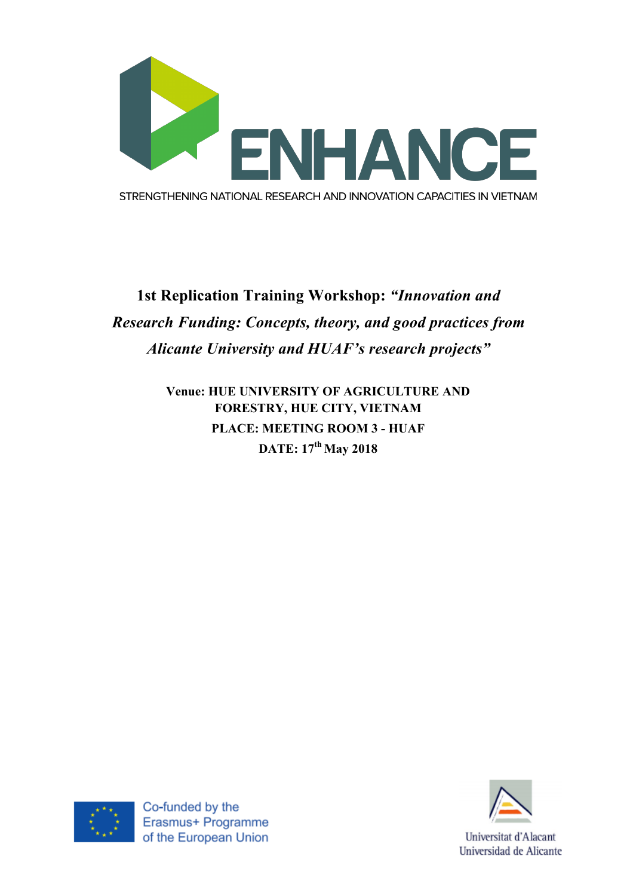

## **1st Replication Training Workshop:** *"Innovation and Research Funding: Concepts, theory, and good practices from Alicante University and HUAF's research projects"*

**Venue: HUE UNIVERSITY OF AGRICULTURE AND FORESTRY, HUE CITY, VIETNAM PLACE: MEETING ROOM 3 - HUAF DATE: 17th May 2018**





Universitat d'Alacant Universidad de Alicante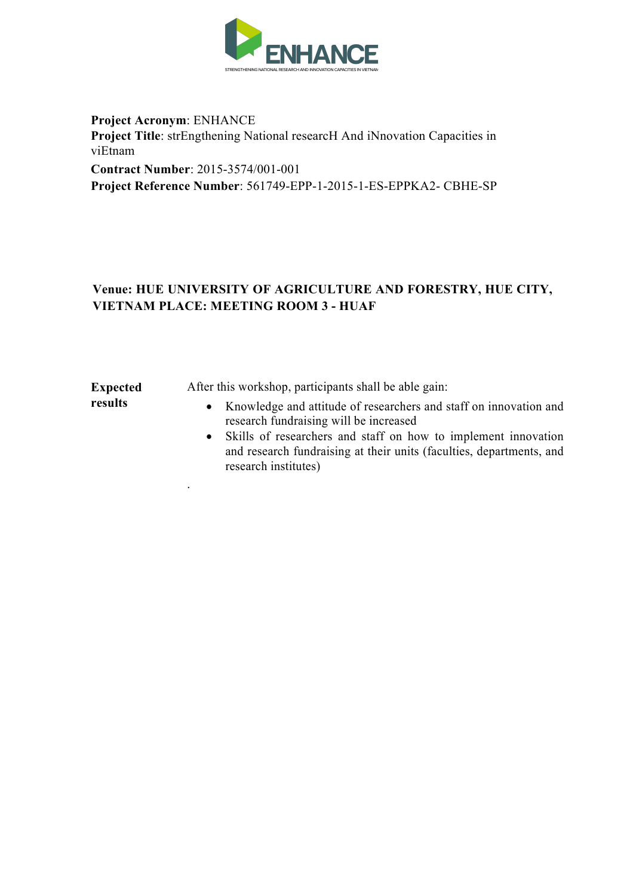

**Project Acronym**: ENHANCE **Project Title**: strEngthening National researcH And iNnovation Capacities in viEtnam **Contract Number**: 2015-3574/001-001 **Project Reference Number**: 561749-EPP-1-2015-1-ES-EPPKA2- CBHE-SP

## **Venue: HUE UNIVERSITY OF AGRICULTURE AND FORESTRY, HUE CITY, VIETNAM PLACE: MEETING ROOM 3 - HUAF**

**Expected results** 

.

After this workshop, participants shall be able gain:

- Knowledge and attitude of researchers and staff on innovation and research fundraising will be increased
- Skills of researchers and staff on how to implement innovation and research fundraising at their units (faculties, departments, and research institutes)